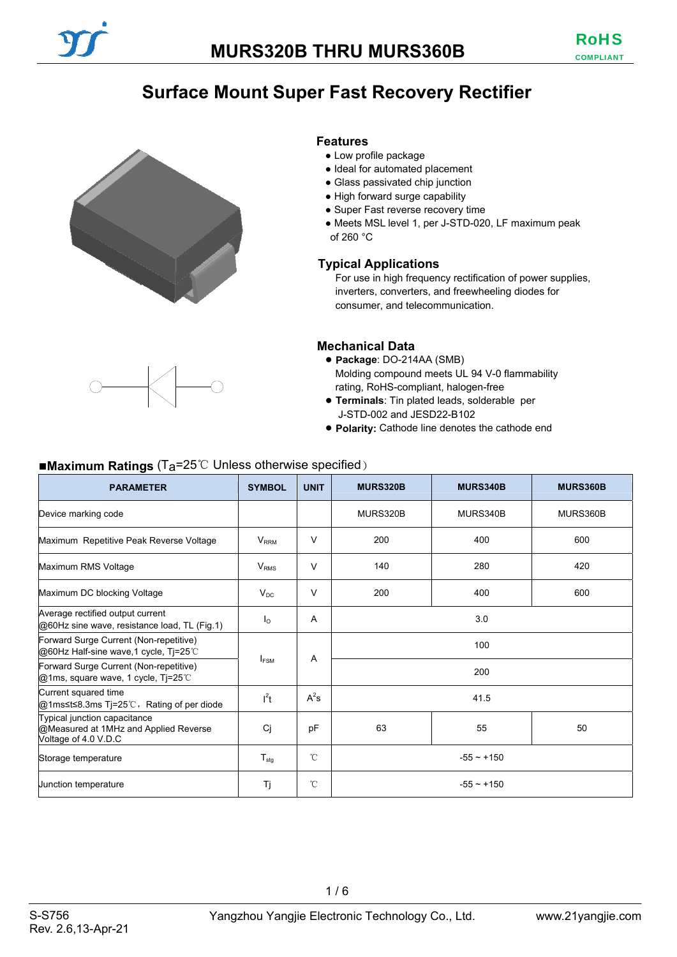# **Surface Mount Super Fast Recovery Rectifier**





- Low profile package
- Ideal for automated placement
- Glass passivated chip junction
- High forward surge capability
- Super Fast reverse recovery time
- Meets MSL level 1, per J-STD-020, LF maximum peak of 260 °C

#### **Typical Applications**

For use in high frequency rectification of power supplies, inverters, converters, and freewheeling diodes for consumer, and telecommunication.

#### **Mechanical Data**

- **Package**: DO-214AA (SMB) Molding compound meets UL 94 V-0 flammability rating, RoHS-compliant, halogen-free
- **Terminals**: Tin plated leads, solderable per J-STD-002 and JESD22-B102
- **Polarity:** Cathode line denotes the cathode end

#### ■**Maximum Ratings** (Ta=25℃ Unless otherwise specified)

| <b>PARAMETER</b>                                                                              | <b>SYMBOL</b>    | <b>UNIT</b>    | <b>MURS320B</b>   | MURS340B | MURS360B |  |
|-----------------------------------------------------------------------------------------------|------------------|----------------|-------------------|----------|----------|--|
| Device marking code                                                                           |                  |                | MURS320B          | MURS340B | MURS360B |  |
| Maximum Repetitive Peak Reverse Voltage                                                       | $V_{RRM}$        | $\vee$         | 200               | 400      | 600      |  |
| Maximum RMS Voltage                                                                           | V <sub>RMS</sub> | $\vee$         | 140               | 280      | 420      |  |
| Maximum DC blocking Voltage                                                                   | $V_{DC}$         | $\vee$         | 200<br>400<br>600 |          |          |  |
| Average rectified output current<br>@60Hz sine wave, resistance load, TL (Fig.1)              | $I_{\Omega}$     | $\overline{A}$ | 3.0               |          |          |  |
| Forward Surge Current (Non-repetitive)<br>@60Hz Half-sine wave,1 cycle, Tj=25℃                |                  |                | 100               |          |          |  |
| Forward Surge Current (Non-repetitive)<br>@1ms, square wave, 1 cycle, Ti=25°C                 | I <sub>FSM</sub> | A              | 200               |          |          |  |
| Current squared time<br>@1ms≤t≤8.3ms Tj=25℃, Rating of per diode                              | $l^2t$           | $A^2s$         | 41.5              |          |          |  |
| Typical junction capacitance<br>@Measured at 1MHz and Applied Reverse<br>Voltage of 4.0 V.D.C | Ci               | pF             | 63<br>55<br>50    |          |          |  |
| Storage temperature                                                                           | $T_{\text{stg}}$ | °C             | $-55 \sim +150$   |          |          |  |
| Junction temperature                                                                          | Τi               | $^{\circ}$ C   | $-55 - +150$      |          |          |  |

 $1/6$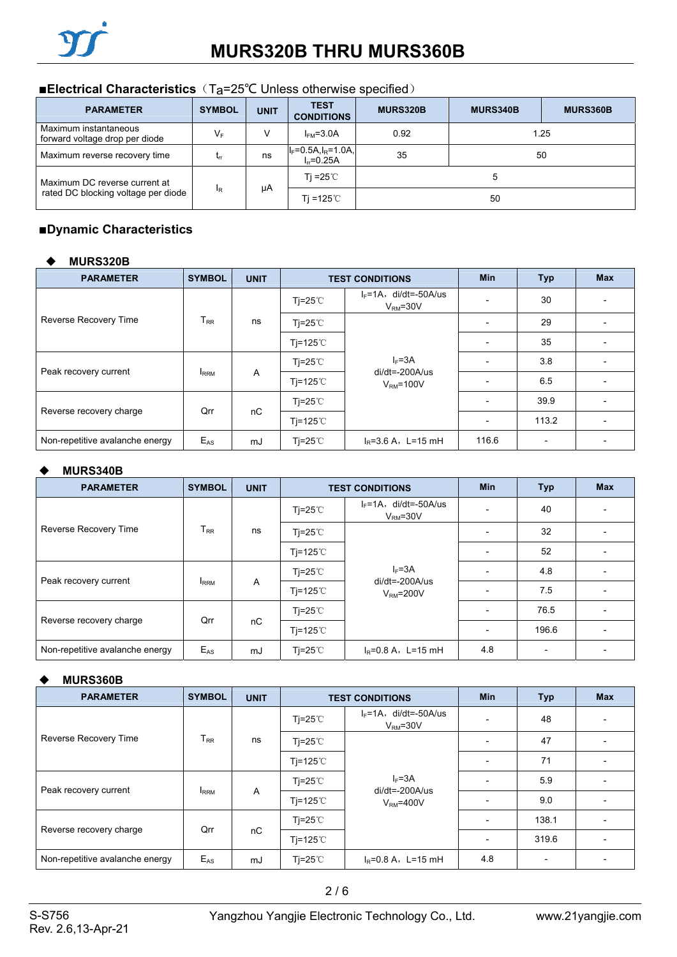# ■**Electrical Characteristics** (T<sub>a</sub>=25<sup>°</sup>C Unless otherwise specified)

| <b>PARAMETER</b>                                        | <b>SYMBOL</b>              | <b>UNIT</b> | <b>TEST</b><br><b>CONDITIONS</b>         | <b>MURS320B</b> | <b>MURS340B</b> | <b>MURS360B</b> |
|---------------------------------------------------------|----------------------------|-------------|------------------------------------------|-----------------|-----------------|-----------------|
| Maximum instantaneous<br>forward voltage drop per diode | $V_F$                      | v           | $IFM=3.0A$                               | 0.92            | 1.25            |                 |
| Maximum reverse recovery time                           | $\mathsf{L}_{\mathsf{IT}}$ | ns          | $I_F = 0.5A, I_R = 1.0A,$<br>$L = 0.25A$ | 35              | 50              |                 |
| Maximum DC reverse current at                           |                            |             | Ti =25 $^{\circ}$ C                      |                 |                 |                 |
| rated DC blocking voltage per diode                     | $_{\rm IR}$                | μA          | Ti =125 $\degree$ C                      | 50              |                 |                 |

### ■**Dynamic Characteristics**

#### **MURS320B**

| <b>PARAMETER</b>                | <b>SYMBOL</b> | <b>UNIT</b> |                           | <b>TEST CONDITIONS</b>                  |                          | <b>Typ</b>               | <b>Max</b> |
|---------------------------------|---------------|-------------|---------------------------|-----------------------------------------|--------------------------|--------------------------|------------|
|                                 |               |             | $Ti=25^{\circ}$           | $I_F = 1A$ , di/dt=-50A/us<br>$VRM=30V$ |                          | 30                       |            |
| Reverse Recovery Time           | $T_{RR}$      | ns          | $Ti=25^{\circ}C$          | $I_F = 3A$<br>$di/dt = -200A/us$        |                          | 29                       |            |
|                                 |               |             | Ti=125 $°C$               |                                         |                          | 35                       |            |
| Peak recovery current           |               |             | Ti=25 $\degree$ C         |                                         |                          | 3.8                      |            |
|                                 | <b>IRRM</b>   | A           | Ti=125 $°C$<br>$VRM=100V$ |                                         | 6.5                      |                          |            |
|                                 | Qrr           | nC          | Ti=25 $\degree$ C         |                                         | $\overline{\phantom{0}}$ | 39.9                     |            |
| Reverse recovery charge         |               |             | Ti=125 $°C$               |                                         | $\overline{\phantom{0}}$ | 113.2                    |            |
| Non-repetitive avalanche energy | $E_{AS}$      | mJ          | Tj=25 $\degree$ C         | $I_R = 3.6 A$ , L=15 mH                 | 116.6                    | $\overline{\phantom{a}}$ |            |

#### **MURS340B**

| <b>PARAMETER</b>                | <b>SYMBOL</b> | <b>UNIT</b>    | <b>TEST CONDITIONS</b> |                                                | <b>Min</b>               | <b>Typ</b> | <b>Max</b> |  |
|---------------------------------|---------------|----------------|------------------------|------------------------------------------------|--------------------------|------------|------------|--|
|                                 |               |                | $Ti=25^{\circ}$        | $I_F = 1A$ , di/dt=-50A/us<br>$VRM=30V$        |                          | 40         |            |  |
| Reverse Recovery Time           | $T_{\sf RR}$  | ns             | $Ti=25^{\circ}C$       | $I_F = 3A$<br>$di/dt = -200A/us$<br>$VRM=200V$ |                          | 32         |            |  |
|                                 |               |                | Tj=125 $\degree$ C     |                                                | $\overline{\phantom{0}}$ | 52         |            |  |
|                                 |               |                | $Ti=25^{\circ}$        |                                                |                          | 4.8        |            |  |
| Peak recovery current           | <b>I</b> RRM  | $\overline{A}$ | Tj=125 $\degree$ C     |                                                |                          | 7.5        |            |  |
|                                 | Qrr           |                |                        | $Ti=25^{\circ}$                                |                          |            | 76.5       |  |
| Reverse recovery charge         |               | nC             | Ti=125 $°C$            |                                                |                          | 196.6      |            |  |
| Non-repetitive avalanche energy | $E_{AS}$      | mJ             | Tj=25℃                 | $I_R = 0.8 A$ , L=15 mH                        | 4.8                      |            |            |  |

#### **MURS360B**

| <b>PARAMETER</b>                | <b>SYMBOL</b> | <b>UNIT</b> | <b>TEST CONDITIONS</b> |                                                | <b>Min</b>               | Typ                      | <b>Max</b> |
|---------------------------------|---------------|-------------|------------------------|------------------------------------------------|--------------------------|--------------------------|------------|
|                                 |               |             | Ti=25 $^{\circ}$ C     | $I_F = 1A$ , di/dt=-50A/us<br>$VRM=30V$        | $\overline{\phantom{0}}$ | 48                       |            |
| Reverse Recovery Time           | $T_{RR}$      | ns          | $Ti=25^{\circ}C$       |                                                | $\overline{\phantom{0}}$ | 47                       |            |
|                                 |               |             | Tj=125 $\degree$ C     | $I_F = 3A$<br>$di/dt = -200A/us$<br>$VRM=400V$ | $\overline{\phantom{a}}$ | 71                       |            |
|                                 |               | A           | $Ti=25^{\circ}$        |                                                | $\overline{\phantom{a}}$ | 5.9                      |            |
| Peak recovery current           | <b>IRRM</b>   |             | Tj=125 $\degree$ C     |                                                | $\overline{\phantom{a}}$ | 9.0                      |            |
|                                 | Qrr           |             | Tj=25 $^{\circ}$ C     |                                                | $\overline{\phantom{a}}$ | 138.1                    |            |
| Reverse recovery charge         |               | nC          | Tj=125 $\degree$ C     |                                                | $\overline{\phantom{a}}$ | 319.6                    |            |
| Non-repetitive avalanche energy | $E_{AS}$      | mJ          | $Ti=25^{\circ}$        | $I_R = 0.8 A$ , L=15 mH                        | 4.8                      | $\overline{\phantom{0}}$ |            |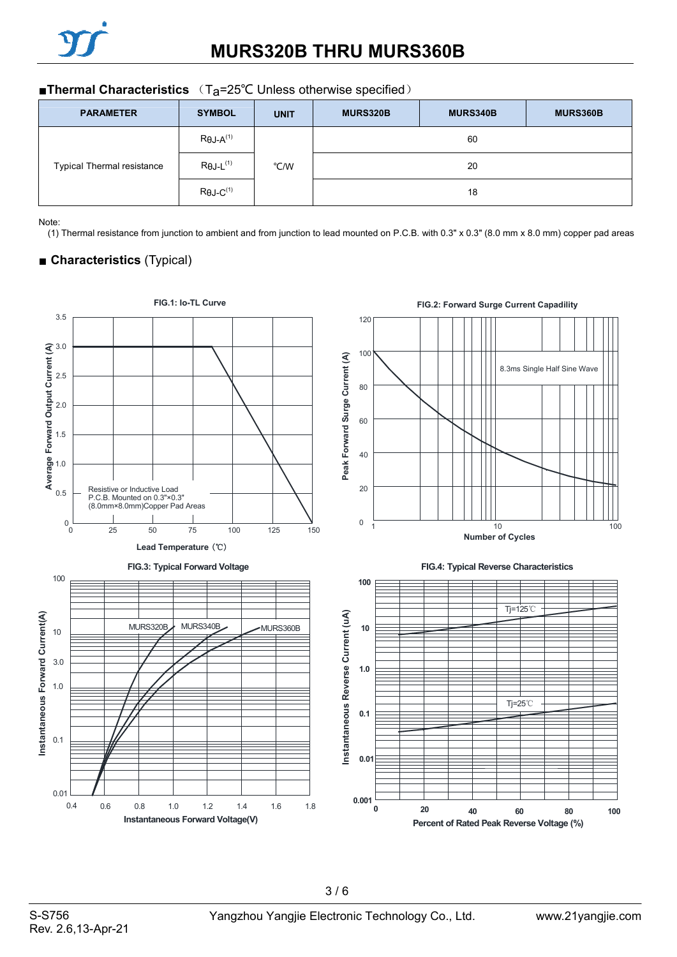

| <b>PARAMETER</b>                  | <b>SYMBOL</b>                | <b>UNIT</b> | MURS320B | MURS340B | MURS360B |
|-----------------------------------|------------------------------|-------------|----------|----------|----------|
|                                   | $R\theta J - A^{(1)}$        |             |          | 60       |          |
| <b>Typical Thermal resistance</b> | $R\theta$ J-L <sup>(1)</sup> | °C/W        |          | 20       |          |
|                                   | $R\theta$ J-C <sup>(1)</sup> |             | 18       |          |          |

Note:

(1) Thermal resistance from junction to ambient and from junction to lead mounted on P.C.B. with 0.3" x 0.3" (8.0 mm x 8.0 mm) copper pad areas

# ■ **Characteristics** (Typical)

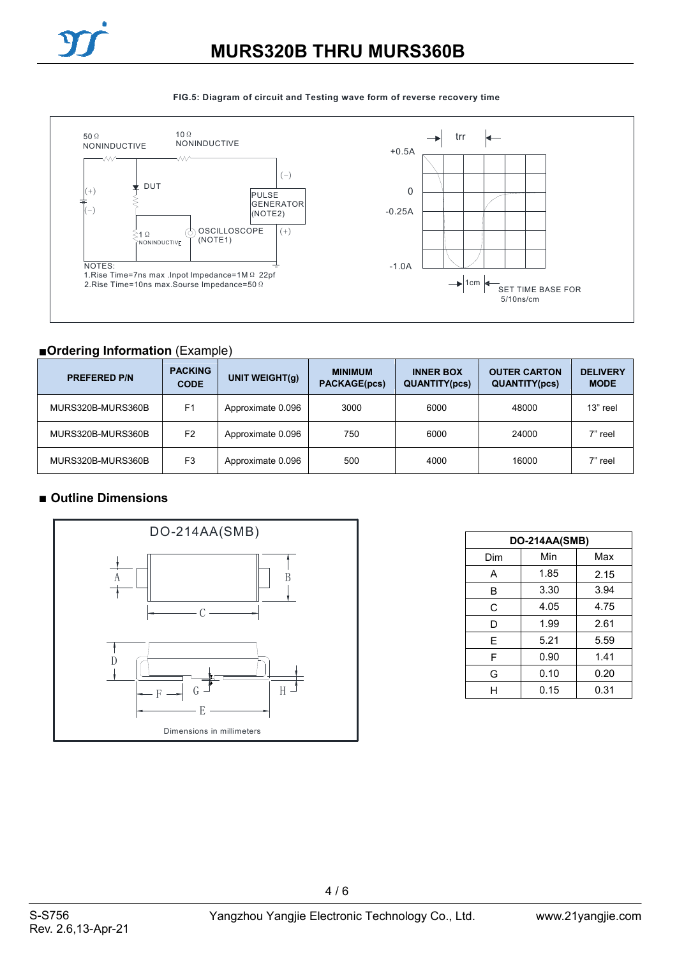



#### **FIG.5: Diagram of circuit and Testing wave form of reverse recovery time**

## ■**Ordering Information** (Example)

| <b>PREFERED P/N</b> | <b>PACKING</b><br><b>CODE</b> | UNIT WEIGHT(q)    | <b>MINIMUM</b><br><b>PACKAGE(pcs)</b> | <b>INNER BOX</b><br><b>QUANTITY(pcs)</b> | <b>OUTER CARTON</b><br><b>QUANTITY(pcs)</b> | <b>DELIVERY</b><br><b>MODE</b> |
|---------------------|-------------------------------|-------------------|---------------------------------------|------------------------------------------|---------------------------------------------|--------------------------------|
| MURS320B-MURS360B   | F <sub>1</sub>                | Approximate 0.096 | 3000                                  | 6000                                     | 48000                                       | 13" reel                       |
| MURS320B-MURS360B   | F <sub>2</sub>                | Approximate 0.096 | 750                                   | 6000                                     | 24000                                       | 7" reel                        |
| MURS320B-MURS360B   | F <sub>3</sub>                | Approximate 0.096 | 500                                   | 4000                                     | 16000                                       | 7" reel                        |

### ■ Outline Dimensions



| <b>DO-214AA(SMB)</b> |      |      |  |  |  |
|----------------------|------|------|--|--|--|
| Dim                  | Min  | Max  |  |  |  |
| А                    | 1.85 | 2.15 |  |  |  |
| B                    | 3.30 | 3.94 |  |  |  |
| С                    | 4.05 | 4.75 |  |  |  |
| D                    | 1.99 | 2.61 |  |  |  |
| Е                    | 5.21 | 5.59 |  |  |  |
| F                    | 0.90 | 1.41 |  |  |  |
| G                    | 0.10 | 0.20 |  |  |  |
| н                    | 0.15 | 0.31 |  |  |  |

4 / 6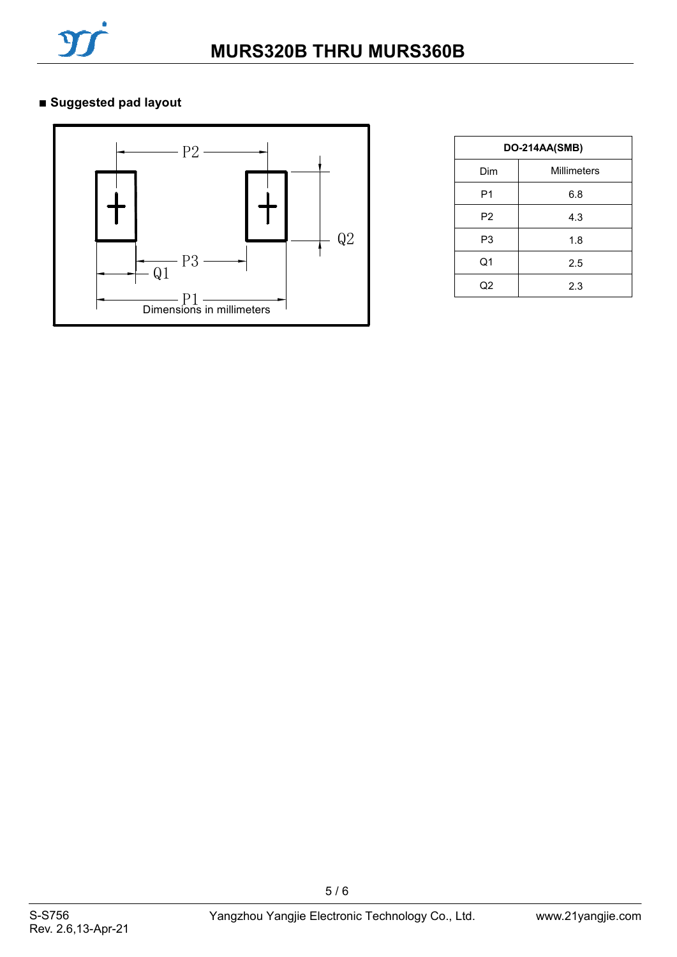

# **■ Suggested pad layout**



| DO-214AA(SMB)  |                    |  |  |  |
|----------------|--------------------|--|--|--|
| Dim            | <b>Millimeters</b> |  |  |  |
| P <sub>1</sub> | 6.8                |  |  |  |
| P <sub>2</sub> | 4.3                |  |  |  |
| P3             | 1.8                |  |  |  |
| Q1             | 2.5                |  |  |  |
| Q2             | 2.3                |  |  |  |